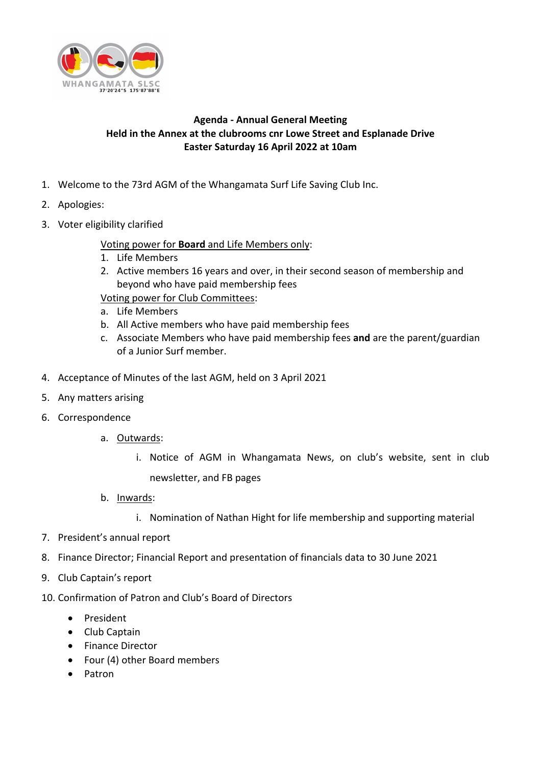

## **Agenda - Annual General Meeting Held in the Annex at the clubrooms cnr Lowe Street and Esplanade Drive Easter Saturday 16 April 2022 at 10am**

- 1. Welcome to the 73rd AGM of the Whangamata Surf Life Saving Club Inc.
- 2. Apologies:
- 3. Voter eligibility clarified

## Voting power for **Board** and Life Members only:

- 1. Life Members
- 2. Active members 16 years and over, in their second season of membership and beyond who have paid membership fees

Voting power for Club Committees:

- a. Life Members
- b. All Active members who have paid membership fees
- c. Associate Members who have paid membership fees **and** are the parent/guardian of a Junior Surf member.
- 4. Acceptance of Minutes of the last AGM, held on 3 April 2021
- 5. Any matters arising
- 6. Correspondence
	- a. Outwards:
		- i. Notice of AGM in Whangamata News, on club's website, sent in club newsletter, and FB pages
	- b. Inwards:
		- i. Nomination of Nathan Hight for life membership and supporting material
- 7. President's annual report
- 8. Finance Director; Financial Report and presentation of financials data to 30 June 2021
- 9. Club Captain's report
- 10. Confirmation of Patron and Club's Board of Directors
	- President
	- Club Captain
	- Finance Director
	- Four (4) other Board members
	- Patron